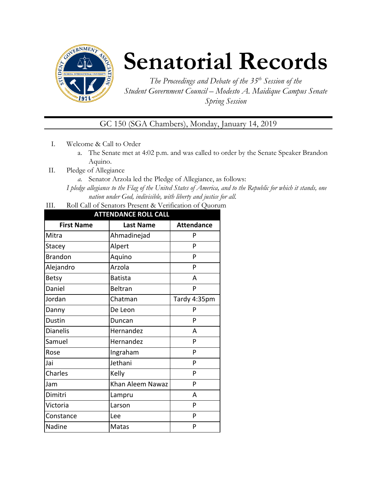

# **Senatorial Records**

*The Proceedings and Debate of the 35 th Session of the Student Government Council – Modesto A. Maidique Campus Senate Spring Session*

GC 150 (SGA Chambers), Monday, January 14, 2019

- I. Welcome & Call to Order
	- a. The Senate met at 4:02 p.m. and was called to order by the Senate Speaker Brandon Aquino.
- II. Pledge of Allegiance
	- *a.* Senator Arzola led the Pledge of Allegiance, as follows:

*I pledge allegiance to the Flag of the United States of America, and to the Republic for which it stands, one nation under God, indivisible, with liberty and justice for all.*

III. Roll Call of Senators Present & Verification of Quorum

| <b>ATTENDANCE ROLL CALL</b> |                  |                   |  |  |
|-----------------------------|------------------|-------------------|--|--|
| <b>First Name</b>           | <b>Last Name</b> | <b>Attendance</b> |  |  |
| Mitra                       | Ahmadinejad      | P                 |  |  |
| Stacey                      | Alpert           | P                 |  |  |
| <b>Brandon</b>              | Aquino           | P                 |  |  |
| Alejandro                   | Arzola           | P                 |  |  |
| <b>Betsy</b>                | <b>Batista</b>   | А                 |  |  |
| Daniel                      | <b>Beltran</b>   | P                 |  |  |
| Jordan                      | Chatman          | Tardy 4:35pm      |  |  |
| Danny                       | De Leon          | P                 |  |  |
| <b>Dustin</b>               | Duncan           | P                 |  |  |
| <b>Dianelis</b>             | Hernandez        | А                 |  |  |
| Samuel                      | Hernandez        | P                 |  |  |
| Rose                        | Ingraham         | P                 |  |  |
| Jai                         | Jethani          | P                 |  |  |
| Charles                     | Kelly            | P                 |  |  |
| Jam                         | Khan Aleem Nawaz | P                 |  |  |
| Dimitri                     | Lampru           | A                 |  |  |
| Victoria                    | Larson           | P                 |  |  |
| Constance                   | Lee              | P                 |  |  |
| Nadine                      | Matas            | P                 |  |  |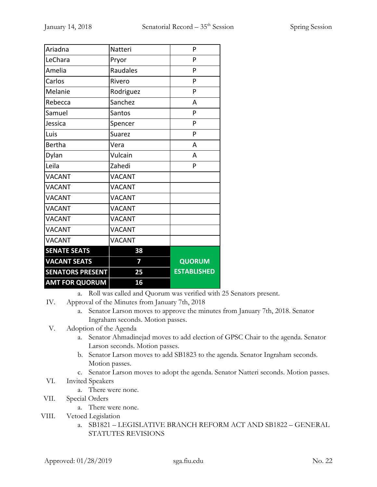| Ariadna                 | Natteri       | P                  |
|-------------------------|---------------|--------------------|
| LeChara                 | Pryor         | P                  |
| Amelia                  | Raudales      | P                  |
| Carlos                  | Rivero        | P                  |
| Melanie                 | Rodriguez     | P                  |
| Rebecca                 | Sanchez       | A                  |
| Samuel                  | Santos        | P                  |
| Jessica                 | Spencer       | P                  |
| Luis                    | Suarez        | P                  |
| <b>Bertha</b>           | Vera          | A                  |
| Dylan                   | Vulcain       | A                  |
| Leila                   | Zahedi        | P                  |
| <b>VACANT</b>           | <b>VACANT</b> |                    |
| <b>VACANT</b>           | <b>VACANT</b> |                    |
| <b>VACANT</b>           | <b>VACANT</b> |                    |
| <b>VACANT</b>           | <b>VACANT</b> |                    |
| <b>VACANT</b>           | <b>VACANT</b> |                    |
| <b>VACANT</b>           | <b>VACANT</b> |                    |
| <b>VACANT</b>           | <b>VACANT</b> |                    |
| <b>SENATE SEATS</b>     | 38            |                    |
| <b>VACANT SEATS</b>     | 7             | <b>QUORUM</b>      |
| <b>SENATORS PRESENT</b> | 25            | <b>ESTABLISHED</b> |
| <b>AMT FOR QUORUM</b>   | 16            |                    |

a. Roll was called and Quorum was verified with 25 Senators present.

- IV. Approval of the Minutes from January 7th, 2018
	- a. Senator Larson moves to approve the minutes from January 7th, 2018. Senator Ingraham seconds. Motion passes.
- V. Adoption of the Agenda
	- a. Senator Ahmadinejad moves to add election of GPSC Chair to the agenda. Senator Larson seconds. Motion passes.
	- b. Senator Larson moves to add SB1823 to the agenda. Senator Ingraham seconds. Motion passes.
	- c. Senator Larson moves to adopt the agenda. Senator Natteri seconds. Motion passes.
- VI. Invited Speakers
	- a. There were none.
- VII. Special Orders
	- a. There were none.
- VIII. Vetoed Legislation
	- a. SB1821 LEGISLATIVE BRANCH REFORM ACT AND SB1822 GENERAL STATUTES REVISIONS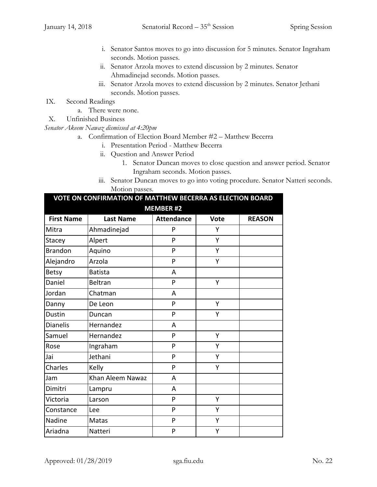- i. Senator Santos moves to go into discussion for 5 minutes. Senator Ingraham seconds. Motion passes.
- ii. Senator Arzola moves to extend discussion by 2 minutes. Senator Ahmadinejad seconds. Motion passes.
- iii. Senator Arzola moves to extend discussion by 2 minutes. Senator Jethani seconds. Motion passes.
- IX. Second Readings
	- a. There were none.
- X. Unfinished Business

## *Senator Akeem Nawaz dismissed at 4:20pm*

- a. Confirmation of Election Board Member #2 Matthew Becerra
	- i. Presentation Period Matthew Becerra
	- ii. Question and Answer Period
		- 1. Senator Duncan moves to close question and answer period. Senator Ingraham seconds. Motion passes.
	- iii. Senator Duncan moves to go into voting procedure. Senator Natteri seconds. Motion passes.

| VOTE ON CONFIRMATION OF MATTHEW BECERRA AS ELECTION BOARD |                  |                   |             |               |
|-----------------------------------------------------------|------------------|-------------------|-------------|---------------|
|                                                           |                  | <b>MEMBER #2</b>  |             |               |
| <b>First Name</b>                                         | <b>Last Name</b> | <b>Attendance</b> | <b>Vote</b> | <b>REASON</b> |
| Mitra                                                     | Ahmadinejad      | P                 | Y           |               |
| Stacey                                                    | Alpert           | P                 | Y           |               |
| <b>Brandon</b>                                            | Aquino           | P                 | Υ           |               |
| Alejandro                                                 | Arzola           | P                 | Y           |               |
| <b>Betsy</b>                                              | <b>Batista</b>   | A                 |             |               |
| Daniel                                                    | Beltran          | P                 | Y           |               |
| Jordan                                                    | Chatman          | A                 |             |               |
| Danny                                                     | De Leon          | P                 | Y           |               |
| <b>Dustin</b>                                             | Duncan           | P                 | Y           |               |
| <b>Dianelis</b>                                           | Hernandez        | A                 |             |               |
| Samuel                                                    | Hernandez        | P                 | Y           |               |
| Rose                                                      | Ingraham         | P                 | Υ           |               |
| Jai                                                       | Jethani          | P                 | Y           |               |
| Charles                                                   | Kelly            | P                 | Υ           |               |
| Jam                                                       | Khan Aleem Nawaz | A                 |             |               |
| Dimitri                                                   | Lampru           | A                 |             |               |
| Victoria                                                  | Larson           | P                 | Y           |               |
| Constance                                                 | Lee              | P                 | Υ           |               |
| Nadine                                                    | Matas            | P                 | Υ           |               |
| Ariadna                                                   | Natteri          | P                 | Υ           |               |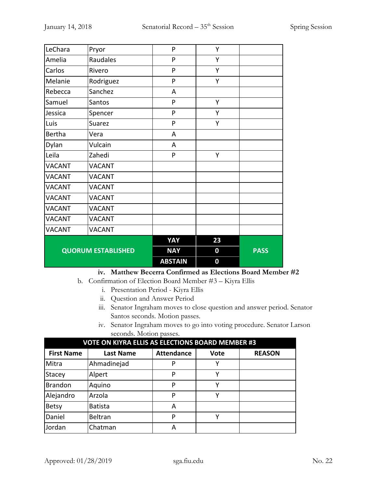| LeChara                   | Pryor         | P              | Υ        |             |
|---------------------------|---------------|----------------|----------|-------------|
| Amelia                    | Raudales      | P              | Y        |             |
| Carlos                    | Rivero        | P              | Υ        |             |
| Melanie                   | Rodriguez     | P              | Υ        |             |
| Rebecca                   | Sanchez       | A              |          |             |
| Samuel                    | Santos        | P              | Υ        |             |
| Jessica                   | Spencer       | P              | Υ        |             |
| Luis                      | <b>Suarez</b> | P              | Υ        |             |
| <b>Bertha</b>             | Vera          | A              |          |             |
| Dylan                     | Vulcain       | A              |          |             |
| Leila                     | Zahedi        | P              | Υ        |             |
| <b>VACANT</b>             | <b>VACANT</b> |                |          |             |
| <b>VACANT</b>             | <b>VACANT</b> |                |          |             |
| <b>VACANT</b>             | <b>VACANT</b> |                |          |             |
| <b>VACANT</b>             | <b>VACANT</b> |                |          |             |
| <b>VACANT</b>             | <b>VACANT</b> |                |          |             |
| <b>VACANT</b>             | <b>VACANT</b> |                |          |             |
| <b>VACANT</b>             | <b>VACANT</b> |                |          |             |
|                           |               | YAY            | 23       |             |
| <b>QUORUM ESTABLISHED</b> |               | <b>NAY</b>     | $\bf{0}$ | <b>PASS</b> |
|                           |               | <b>ABSTAIN</b> | $\bf{0}$ |             |

## **iv. Matthew Becerra Confirmed as Elections Board Member #2**

- b. Confirmation of Election Board Member #3 Kiyra Ellis
	- i. Presentation Period Kiyra Ellis
	- ii. Question and Answer Period
	- iii. Senator Ingraham moves to close question and answer period. Senator Santos seconds. Motion passes.
	- iv. Senator Ingraham moves to go into voting procedure. Senator Larson seconds. Motion passes.

| <b>VOTE ON KIYRA ELLIS AS ELECTIONS BOARD MEMBER #3</b> |                  |                   |             |               |
|---------------------------------------------------------|------------------|-------------------|-------------|---------------|
| <b>First Name</b>                                       | <b>Last Name</b> | <b>Attendance</b> | <b>Vote</b> | <b>REASON</b> |
| Mitra                                                   | Ahmadinejad      | P                 | v           |               |
| Stacey                                                  | Alpert           | P                 | ٧           |               |
| <b>Brandon</b>                                          | Aquino           | P                 | ٧           |               |
| Alejandro                                               | Arzola           | P                 | v           |               |
| <b>Betsy</b>                                            | <b>Batista</b>   | А                 |             |               |
| Daniel                                                  | Beltran          | P                 | ν           |               |
| Jordan                                                  | Chatman          | А                 |             |               |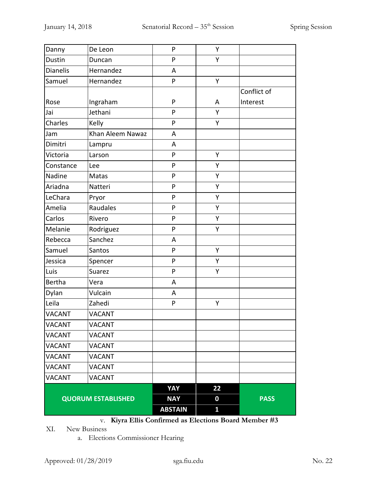|                           |                  | <b>ABSTAIN</b>    | $\mathbf{1}$           |             |
|---------------------------|------------------|-------------------|------------------------|-------------|
| <b>QUORUM ESTABLISHED</b> |                  | YAY<br><b>NAY</b> | 22<br>$\boldsymbol{0}$ | <b>PASS</b> |
| <b>VACANT</b>             | VACANT           |                   |                        |             |
| <b>VACANT</b>             | <b>VACANT</b>    |                   |                        |             |
| <b>VACANT</b>             | <b>VACANT</b>    |                   |                        |             |
| <b>VACANT</b>             | <b>VACANT</b>    |                   |                        |             |
| <b>VACANT</b>             | <b>VACANT</b>    |                   |                        |             |
| <b>VACANT</b>             | <b>VACANT</b>    |                   |                        |             |
| <b>VACANT</b>             | <b>VACANT</b>    |                   |                        |             |
| Leila                     | Zahedi           | $\mathsf{P}$      | Υ                      |             |
| Dylan                     | Vulcain          | A                 |                        |             |
| <b>Bertha</b>             | Vera             | A                 |                        |             |
| Luis                      | Suarez           | $\mathsf{P}$      | Υ                      |             |
| Jessica                   | Spencer          | P                 | Υ                      |             |
| Samuel                    | Santos           | P                 | Υ                      |             |
| Rebecca                   | Sanchez          | A                 |                        |             |
| Melanie                   | Rodriguez        | P                 | Υ                      |             |
| Carlos                    | Rivero           | $\mathsf{P}$      | Υ                      |             |
| Amelia                    | Raudales         | $\mathsf{P}$      | Υ                      |             |
| LeChara                   | Pryor            | $\mathsf{P}$      | Υ                      |             |
| Ariadna                   | Natteri          | $\mathsf{P}$      | Υ                      |             |
| Nadine                    | Matas            | $\mathsf{P}$      | Υ                      |             |
| Constance                 | Lee              | P                 | Υ                      |             |
| Victoria                  | Larson           | $\mathsf{P}$      | Υ                      |             |
| Dimitri                   | Lampru           | A                 |                        |             |
| Jam                       | Khan Aleem Nawaz | A                 |                        |             |
| Charles                   | Kelly            | $\mathsf{P}$      | Υ                      |             |
| Jai                       | Jethani          | $\mathsf{P}$      | Υ                      |             |
| Rose                      | Ingraham         | $\mathsf{P}$      | Α                      | Interest    |
|                           |                  |                   |                        | Conflict of |
| Samuel                    | Hernandez        | $\mathsf{P}$      | Υ                      |             |
| <b>Dianelis</b>           | Hernandez        | A                 |                        |             |
| Dustin                    | Duncan           | $\mathsf{P}$      | Υ                      |             |
| Danny                     | De Leon          | P                 | Υ                      |             |

# v. **Kiyra Ellis Confirmed as Elections Board Member #3**

XI. New Business

a. Elections Commissioner Hearing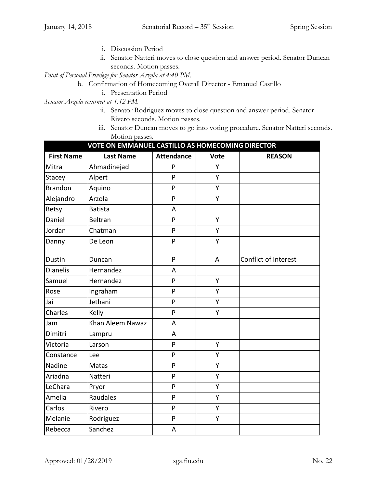- i. Discussion Period
- ii. Senator Natteri moves to close question and answer period. Senator Duncan seconds. Motion passes.

*Point of Personal Privilege for Senator Arzola at 4:40 PM*.

- b. Confirmation of Homecoming Overall Director Emanuel Castillo
	- i. Presentation Period

*Senator Arzola returned at 4:42 PM.*

- ii. Senator Rodriguez moves to close question and answer period. Senator Rivero seconds. Motion passes.
- iii. Senator Duncan moves to go into voting procedure. Senator Natteri seconds. Motion passes.

| VOTE ON EMMANUEL CASTILLO AS HOMECOMING DIRECTOR |                  |                   |             |                      |  |
|--------------------------------------------------|------------------|-------------------|-------------|----------------------|--|
| <b>First Name</b>                                | <b>Last Name</b> | <b>Attendance</b> | <b>Vote</b> | <b>REASON</b>        |  |
| Mitra                                            | Ahmadinejad      | P                 | Y           |                      |  |
| Stacey                                           | Alpert           | P                 | Y           |                      |  |
| <b>Brandon</b>                                   | Aquino           | P                 | Υ           |                      |  |
| Alejandro                                        | Arzola           | P                 | Y           |                      |  |
| <b>Betsy</b>                                     | <b>Batista</b>   | A                 |             |                      |  |
| Daniel                                           | Beltran          | P                 | Υ           |                      |  |
| Jordan                                           | Chatman          | P                 | Y           |                      |  |
| Danny                                            | De Leon          | P                 | Υ           |                      |  |
| Dustin                                           | Duncan           | P                 | A           | Conflict of Interest |  |
| <b>Dianelis</b>                                  | Hernandez        | A                 |             |                      |  |
| Samuel                                           | Hernandez        | P                 | Y           |                      |  |
| Rose                                             | Ingraham         | P                 | Υ           |                      |  |
| Jai                                              | Jethani          | P                 | Y           |                      |  |
| Charles                                          | Kelly            | P                 | Y           |                      |  |
| Jam                                              | Khan Aleem Nawaz | A                 |             |                      |  |
| Dimitri                                          | Lampru           | A                 |             |                      |  |
| Victoria                                         | Larson           | P                 | Y           |                      |  |
| Constance                                        | Lee              | P                 | Y           |                      |  |
| Nadine                                           | Matas            | P                 | Y           |                      |  |
| Ariadna                                          | Natteri          | P                 | Y           |                      |  |
| LeChara                                          | Pryor            | P                 | Υ           |                      |  |
| Amelia                                           | Raudales         | P                 | Y           |                      |  |
| Carlos                                           | Rivero           | P                 | Υ           |                      |  |
| Melanie                                          | Rodriguez        | $\mathsf{P}$      | Υ           |                      |  |
| Rebecca                                          | Sanchez          | A                 |             |                      |  |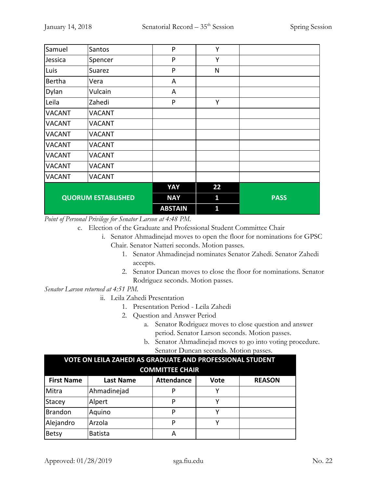| Samuel                    | Santos        | P              | Y            |             |
|---------------------------|---------------|----------------|--------------|-------------|
| Jessica                   | Spencer       | P              | Y            |             |
| Luis                      | Suarez        | P              | $\mathsf{N}$ |             |
| Bertha                    | Vera          | A              |              |             |
| Dylan                     | Vulcain       | A              |              |             |
| Leila                     | Zahedi        | P              | Y            |             |
| <b>VACANT</b>             | <b>VACANT</b> |                |              |             |
| <b>VACANT</b>             | <b>VACANT</b> |                |              |             |
| <b>VACANT</b>             | <b>VACANT</b> |                |              |             |
| <b>VACANT</b>             | <b>VACANT</b> |                |              |             |
| <b>VACANT</b>             | <b>VACANT</b> |                |              |             |
| <b>VACANT</b>             | <b>VACANT</b> |                |              |             |
| <b>VACANT</b>             | <b>VACANT</b> |                |              |             |
|                           |               | YAY            | 22           |             |
| <b>QUORUM ESTABLISHED</b> |               | <b>NAY</b>     | 1            | <b>PASS</b> |
|                           |               | <b>ABSTAIN</b> | 1            |             |

*Point of Personal Privilege for Senator Larson at 4:48 PM.*

- c. Election of the Graduate and Professional Student Committee Chair
	- i. Senator Ahmadinejad moves to open the floor for nominations for GPSC Chair. Senator Natteri seconds. Motion passes.
		- 1. Senator Ahmadinejad nominates Senator Zahedi. Senator Zahedi accepts.
		- 2. Senator Duncan moves to close the floor for nominations. Senator Rodriguez seconds. Motion passes.

*Senator Larson returned at 4:51 PM.*

- ii. Leila Zahedi Presentation
	- 1. Presentation Period Leila Zahedi
	- 2. Question and Answer Period
		- a. Senator Rodriguez moves to close question and answer period. Senator Larson seconds. Motion passes.
		- b. Senator Ahmadinejad moves to go into voting procedure. Senator Duncan seconds. Motion passes.

| VOTE ON LEILA ZAHEDI AS GRADUATE AND PROFESSIONAL STUDENT                           |                |                        |  |  |  |  |
|-------------------------------------------------------------------------------------|----------------|------------------------|--|--|--|--|
|                                                                                     |                | <b>COMMITTEE CHAIR</b> |  |  |  |  |
| <b>Attendance</b><br><b>REASON</b><br><b>First Name</b><br><b>Last Name</b><br>Vote |                |                        |  |  |  |  |
| Mitra                                                                               | Ahmadinejad    |                        |  |  |  |  |
| Stacey                                                                              | Alpert         | P                      |  |  |  |  |
| Brandon                                                                             | Aquino         | P                      |  |  |  |  |
| Alejandro                                                                           | Arzola         | P                      |  |  |  |  |
| <b>Betsy</b>                                                                        | <b>Batista</b> | А                      |  |  |  |  |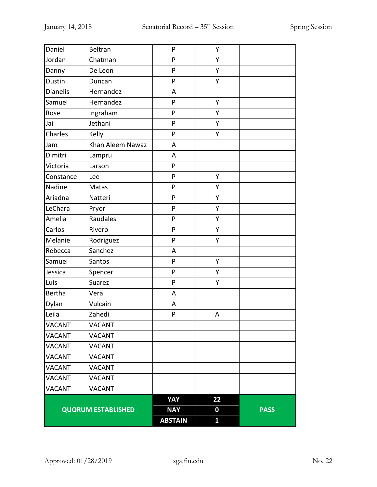| Daniel          | Beltran                   | P            | Υ                |             |
|-----------------|---------------------------|--------------|------------------|-------------|
| Jordan          | Chatman                   | ${\sf P}$    | Υ                |             |
| Danny           | De Leon                   | P            | Υ                |             |
| Dustin          | Duncan                    | P            | Y                |             |
| <b>Dianelis</b> | Hernandez                 | A            |                  |             |
| Samuel          | Hernandez                 | P            | Υ                |             |
| Rose            | Ingraham                  | $\mathsf{P}$ | Y                |             |
| Jai             | Jethani                   | P            | Υ                |             |
| Charles         | Kelly                     | P            | Υ                |             |
| Jam             | Khan Aleem Nawaz          | A            |                  |             |
| Dimitri         | Lampru                    | A            |                  |             |
| Victoria        | Larson                    | P            |                  |             |
| Constance       | Lee                       | P            | Y                |             |
| Nadine          | Matas                     | ${\sf P}$    | Υ                |             |
| Ariadna         | Natteri                   | ${\sf P}$    | Υ                |             |
| LeChara         | Pryor                     | P            | Υ                |             |
| Amelia          | Raudales                  | P            | Υ                |             |
| Carlos          | Rivero                    | P            | Υ                |             |
| Melanie         | Rodriguez                 | P            | Υ                |             |
| Rebecca         | Sanchez                   | A            |                  |             |
| Samuel          | Santos                    | P            | Y                |             |
| Jessica         | Spencer                   | P            | Υ                |             |
| Luis            | Suarez                    | $\mathsf{P}$ | Υ                |             |
| <b>Bertha</b>   | Vera                      | A            |                  |             |
| Dylan           | Vulcain                   | A            |                  |             |
| Leila           | Zahedi                    | P            | A                |             |
| <b>VACANT</b>   | <b>VACANT</b>             |              |                  |             |
| <b>VACANT</b>   | <b>VACANT</b>             |              |                  |             |
| <b>VACANT</b>   | <b>VACANT</b>             |              |                  |             |
| <b>VACANT</b>   | <b>VACANT</b>             |              |                  |             |
| <b>VACANT</b>   | <b>VACANT</b>             |              |                  |             |
| <b>VACANT</b>   | <b>VACANT</b>             |              |                  |             |
| <b>VACANT</b>   | <b>VACANT</b>             |              |                  |             |
|                 |                           | YAY          | 22               |             |
|                 | <b>QUORUM ESTABLISHED</b> |              | $\boldsymbol{0}$ | <b>PASS</b> |
|                 |                           |              | $\mathbf{1}$     |             |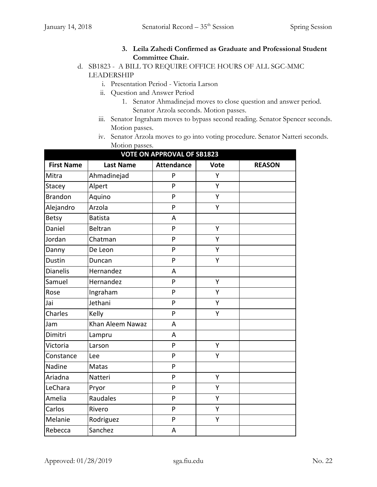# **3. Leila Zahedi Confirmed as Graduate and Professional Student Committee Chair.**

# d. SB1823 - A BILL TO REQUIRE OFFICE HOURS OF ALL SGC-MMC LEADERSHIP

- i. Presentation Period Victoria Larson
- ii. Question and Answer Period
	- 1. Senator Ahmadinejad moves to close question and answer period. Senator Arzola seconds. Motion passes.
- iii. Senator Ingraham moves to bypass second reading. Senator Spencer seconds. Motion passes.
- iv. Senator Arzola moves to go into voting procedure. Senator Natteri seconds. Motion passes.

| <b>VOTE ON APPROVAL OF SB1823</b> |                  |                   |             |               |  |
|-----------------------------------|------------------|-------------------|-------------|---------------|--|
| <b>First Name</b>                 | <b>Last Name</b> | <b>Attendance</b> | <b>Vote</b> | <b>REASON</b> |  |
| Mitra                             | Ahmadinejad      | P                 | Y           |               |  |
| Stacey                            | Alpert           | P                 | Y           |               |  |
| <b>Brandon</b>                    | Aquino           | ${\sf P}$         | Υ           |               |  |
| Alejandro                         | Arzola           | P                 | Υ           |               |  |
| <b>Betsy</b>                      | <b>Batista</b>   | A                 |             |               |  |
| Daniel                            | <b>Beltran</b>   | P                 | Y           |               |  |
| Jordan                            | Chatman          | P                 | Υ           |               |  |
| Danny                             | De Leon          | P                 | Υ           |               |  |
| <b>Dustin</b>                     | Duncan           | P                 | Y           |               |  |
| <b>Dianelis</b>                   | Hernandez        | A                 |             |               |  |
| Samuel                            | Hernandez        | P                 | Y           |               |  |
| Rose                              | Ingraham         | P                 | Y           |               |  |
| Jai                               | Jethani          | P                 | Υ           |               |  |
| Charles                           | Kelly            | P                 | Y           |               |  |
| Jam                               | Khan Aleem Nawaz | A                 |             |               |  |
| Dimitri                           | Lampru           | $\overline{A}$    |             |               |  |
| Victoria                          | Larson           | P                 | Y           |               |  |
| Constance                         | Lee              | P                 | Y           |               |  |
| Nadine                            | Matas            | P                 |             |               |  |
| Ariadna                           | Natteri          | P                 | Υ           |               |  |
| LeChara                           | Pryor            | P                 | Y           |               |  |
| Amelia                            | Raudales         | P                 | Y           |               |  |
| Carlos                            | Rivero           | P                 | Υ           |               |  |
| Melanie                           | Rodriguez        | ${\sf P}$         | Υ           |               |  |
| Rebecca                           | Sanchez          | A                 |             |               |  |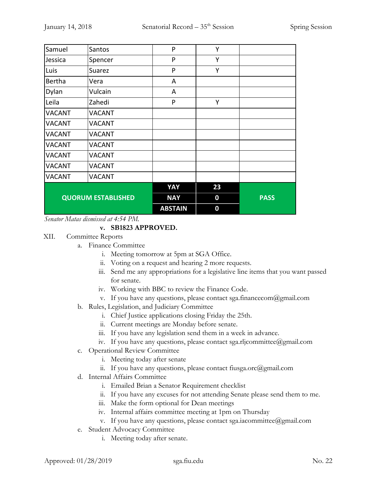| Samuel                    | Santos        | P              | Y  |             |
|---------------------------|---------------|----------------|----|-------------|
| Jessica                   | Spencer       | P              | Υ  |             |
| Luis                      | Suarez        | P              | Υ  |             |
| Bertha                    | Vera          | A              |    |             |
| Dylan                     | Vulcain       | A              |    |             |
| Leila                     | Zahedi        | P              | Y  |             |
| <b>VACANT</b>             | <b>VACANT</b> |                |    |             |
| <b>VACANT</b>             | <b>VACANT</b> |                |    |             |
| <b>VACANT</b>             | <b>VACANT</b> |                |    |             |
| <b>VACANT</b>             | <b>VACANT</b> |                |    |             |
| <b>VACANT</b>             | <b>VACANT</b> |                |    |             |
| <b>VACANT</b>             | <b>VACANT</b> |                |    |             |
| <b>VACANT</b>             | <b>VACANT</b> |                |    |             |
|                           |               | YAY            | 23 |             |
| <b>QUORUM ESTABLISHED</b> |               | <b>NAY</b>     | 0  | <b>PASS</b> |
|                           |               | <b>ABSTAIN</b> | 0  |             |

*Senator Matas dismissed at 4:54 PM.*

# **v. SB1823 APPROVED.**

- XII. Committee Reports
	- a. Finance Committee
		- i. Meeting tomorrow at 5pm at SGA Office.
		- ii. Voting on a request and hearing 2 more requests.
		- iii. Send me any appropriations for a legislative line items that you want passed for senate.
		- iv. Working with BBC to review the Finance Code.
		- v. If you have any questions, please contact sga.financecom@gmail.com
	- b. Rules, Legislation, and Judiciary Committee
		- i. Chief Justice applications closing Friday the 25th.
		- ii. Current meetings are Monday before senate.
		- iii. If you have any legislation send them in a week in advance.
		- iv. If you have any questions, please contact sga.rljcommittee@gmail.com
	- c. Operational Review Committee
		- i. Meeting today after senate
		- ii. If you have any questions, please contact fiusga.orc@gmail.com
	- d. Internal Affairs Committee
		- i. Emailed Brian a Senator Requirement checklist
		- ii. If you have any excuses for not attending Senate please send them to me.
		- iii. Make the form optional for Dean meetings
		- iv. Internal affairs committee meeting at 1pm on Thursday
		- v. If you have any questions, please contact sga.iacommittee@gmail.com
	- e. Student Advocacy Committee
		- i. Meeting today after senate.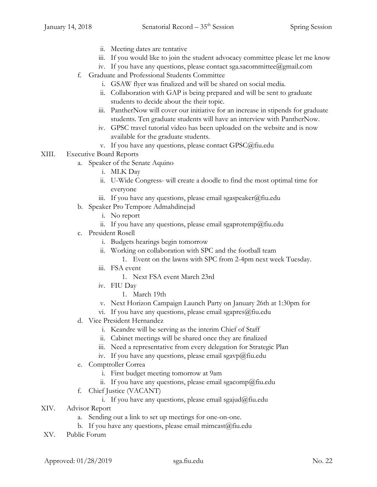- ii. Meeting dates are tentative
- iii. If you would like to join the student advocacy committee please let me know
- iv. If you have any questions, please contact sga.sacommittee@gmail.com
- f. Graduate and Professional Students Committee
	- i. GSAW flyer was finalized and will be shared on social media.
	- ii. Collaboration with GAP is being prepared and will be sent to graduate students to decide about the their topic.
	- iii. PantherNow will cover our initiative for an increase in stipends for graduate students. Ten graduate students will have an interview with PantherNow.
	- iv. GPSC travel tutorial video has been uploaded on the website and is now available for the graduate students.
	- v. If you have any questions, please contact GPSC@fiu.edu
- XIII. Executive Board Reports
	- a. Speaker of the Senate Aquino
		- i. MLK Day
		- ii. U-Wide Congress- will create a doodle to find the most optimal time for everyone
		- iii. If you have any questions, please email sgaspeaker@fiu.edu
	- b. Speaker Pro Tempore Admahdinejad
		- i. No report
		- ii. If you have any questions, please email sgaprotemp@fiu.edu
	- c. President Rosell
		- i. Budgets hearings begin tomorrow
		- ii. Working on collaboration with SPC and the football team
			- 1. Event on the lawns with SPC from 2-4pm next week Tuesday.
		- iii. FSA event
			- 1. Next FSA event March 23rd
		- iv. FIU Day
			- 1. March 19th
		- v. Next Horizon Campaign Launch Party on January 26th at 1:30pm for
		- vi. If you have any questions, please email sgapres $@$ fiu.edu
	- d. Vice President Hernandez
		- i. Keandre will be serving as the interim Chief of Staff
		- ii. Cabinet meetings will be shared once they are finalized
		- iii. Need a representative from every delegation for Strategic Plan
		- iv. If you have any questions, please email sgavp $@$ fiu.edu
	- e. Comptroller Correa
		- i. First budget meeting tomorrow at 9am
		- ii. If you have any questions, please email sgacomp@fiu.edu
	- f. Chief Justice (VACANT)
		- i. If you have any questions, please email sgajud@fiu.edu
- XIV. Advisor Report
	- a. Sending out a link to set up meetings for one-on-one.
	- b. If you have any questions, please email mimcast@fiu.edu
- XV. Public Forum